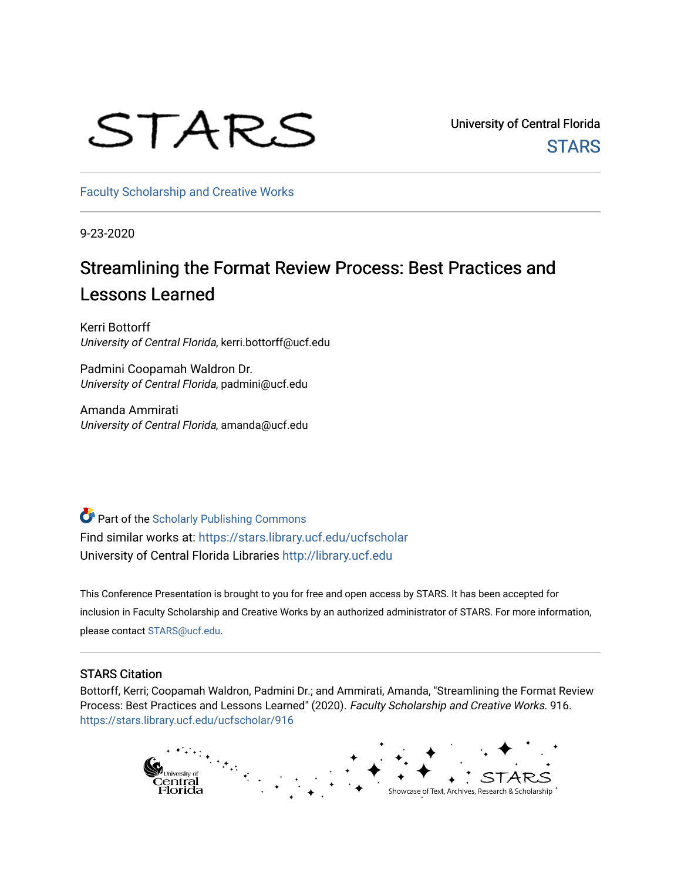# STARS

University of Central Florida **STARS** 

[Faculty Scholarship and Creative Works](https://stars.library.ucf.edu/ucfscholar) 

9-23-2020

### Streamlining the Format Review Process: Best Practices and Lessons Learned

Kerri Bottorff University of Central Florida, kerri.bottorff@ucf.edu

Padmini Coopamah Waldron Dr. University of Central Florida, padmini@ucf.edu

Amanda Ammirati University of Central Florida, amanda@ucf.edu

Part of the [Scholarly Publishing Commons](http://network.bepress.com/hgg/discipline/1273?utm_source=stars.library.ucf.edu%2Fucfscholar%2F916&utm_medium=PDF&utm_campaign=PDFCoverPages)  Find similar works at: <https://stars.library.ucf.edu/ucfscholar> University of Central Florida Libraries [http://library.ucf.edu](http://library.ucf.edu/) 

This Conference Presentation is brought to you for free and open access by STARS. It has been accepted for inclusion in Faculty Scholarship and Creative Works by an authorized administrator of STARS. For more information, please contact [STARS@ucf.edu](mailto:STARS@ucf.edu).

### STARS Citation

Bottorff, Kerri; Coopamah Waldron, Padmini Dr.; and Ammirati, Amanda, "Streamlining the Format Review Process: Best Practices and Lessons Learned" (2020). Faculty Scholarship and Creative Works. 916. [https://stars.library.ucf.edu/ucfscholar/916](https://stars.library.ucf.edu/ucfscholar/916?utm_source=stars.library.ucf.edu%2Fucfscholar%2F916&utm_medium=PDF&utm_campaign=PDFCoverPages)

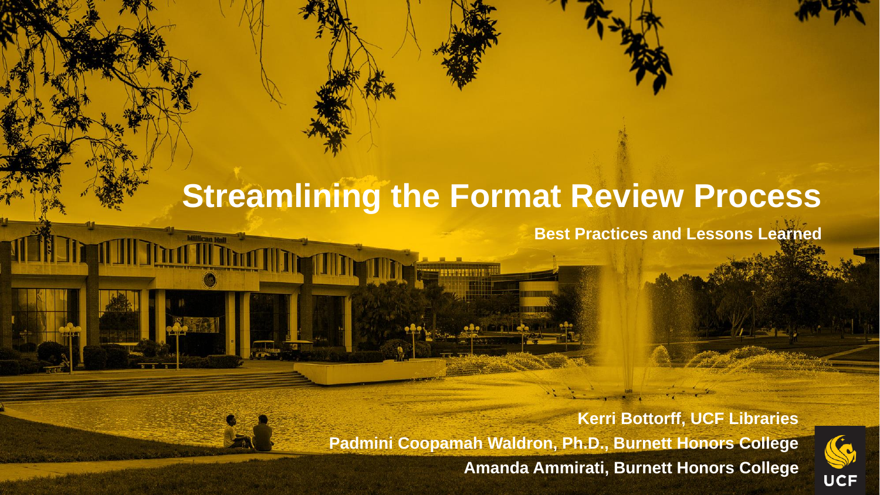## **Streamlining the Format Review Process**

**THE THEFT** 

**II TENTIN** 

**Best Practices and Lessons Learned**

**Kerri Bottorff, UCF Libraries Padmini Coopamah Waldron, Ph.D., Burnett Honors College Amanda Ammirati, Burnett Honors College**

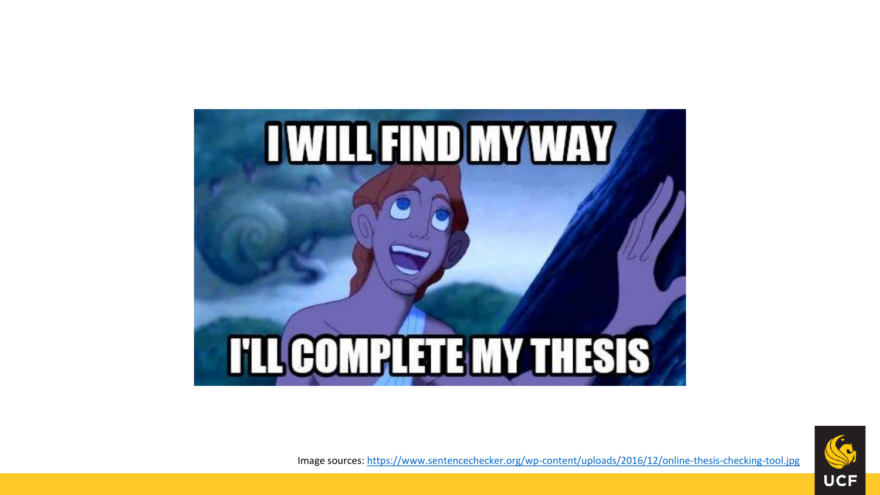



Image sources:<https://www.sentencechecker.org/wp-content/uploads/2016/12/online-thesis-checking-tool.jpg>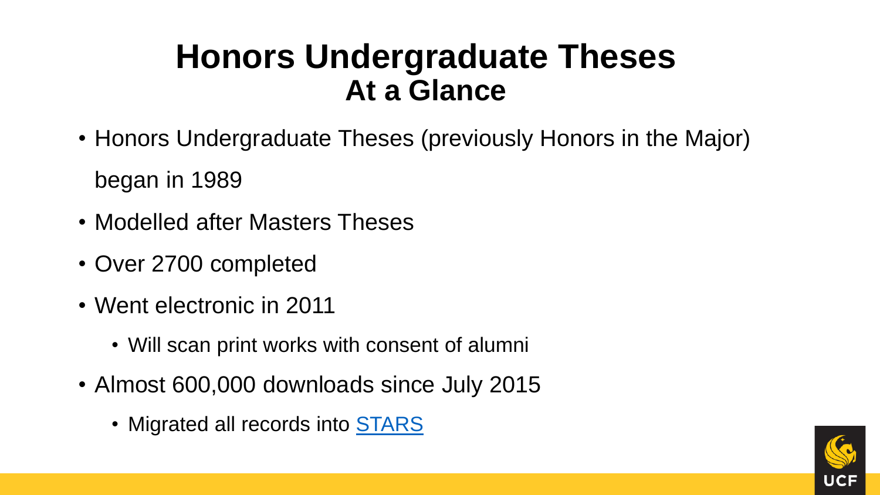## **Honors Undergraduate Theses At a Glance**

- Honors Undergraduate Theses (previously Honors in the Major) began in 1989
- Modelled after Masters Theses
- Over 2700 completed
- Went electronic in 2011
	- Will scan print works with consent of alumni
- Almost 600,000 downloads since July 2015
	- Migrated all records into [STARS](https://stars.library.ucf.edu/honorstheses/)

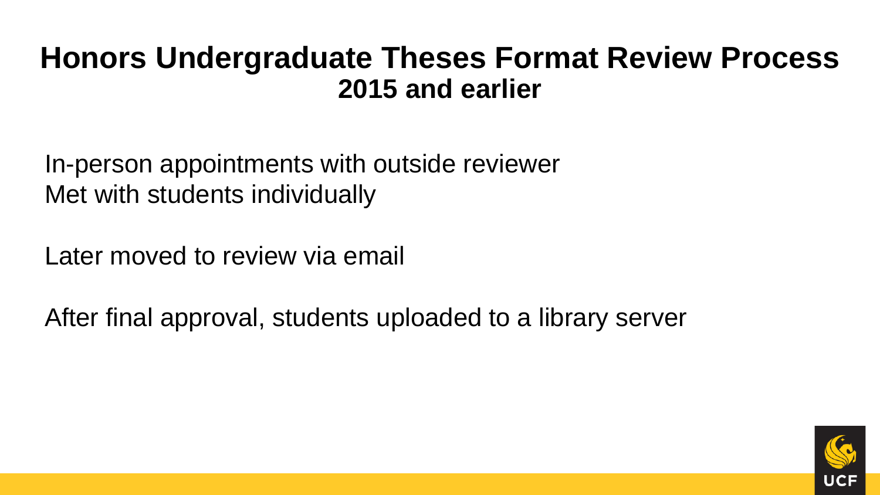## **Honors Undergraduate Theses Format Review Process 2015 and earlier**

In-person appointments with outside reviewer Met with students individually

Later moved to review via email

After final approval, students uploaded to a library server

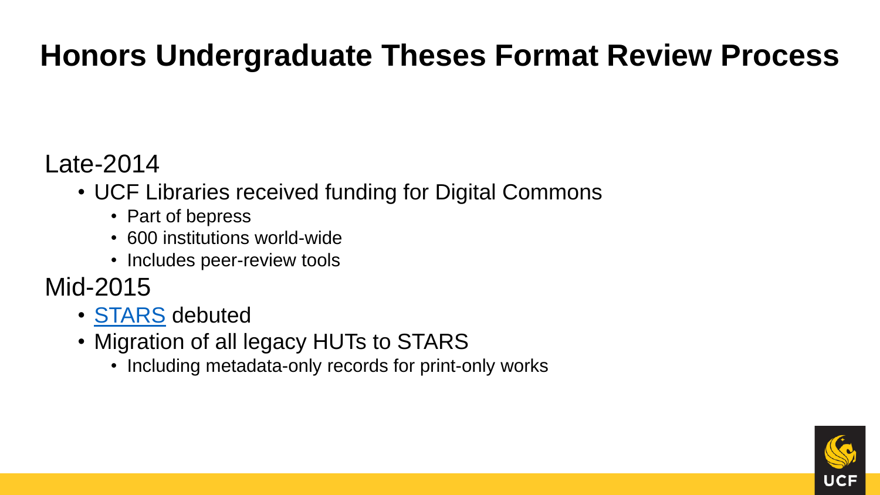## **Honors Undergraduate Theses Format Review Process**

Late-2014

- UCF Libraries received funding for Digital Commons
	- Part of bepress
	- 600 institutions world-wide
	- Includes peer-review tools
- Mid-2015
	- [STARS](https://stars.library.ucf.edu/) debuted
	- Migration of all legacy HUTs to STARS
		- Including metadata-only records for print-only works

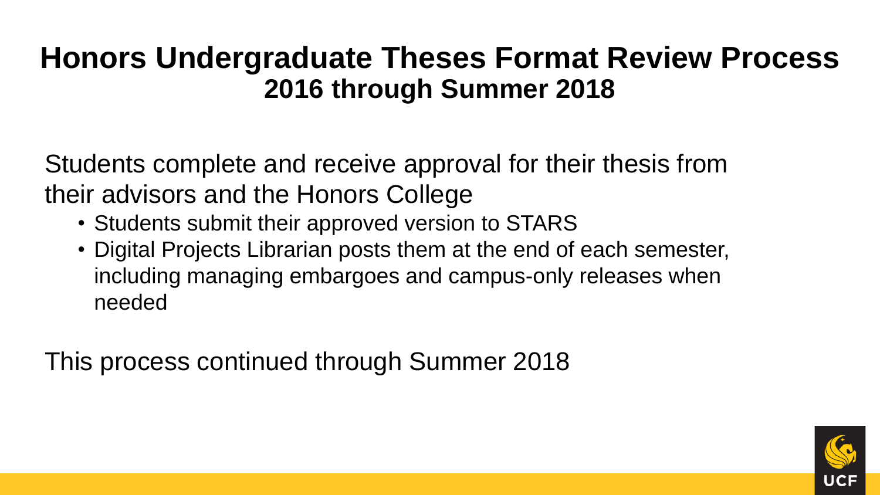## **Honors Undergraduate Theses Format Review Process 2016 through Summer 2018**

Students complete and receive approval for their thesis from their advisors and the Honors College

- Students submit their approved version to STARS
- Digital Projects Librarian posts them at the end of each semester, including managing embargoes and campus-only releases when needed

This process continued through Summer 2018

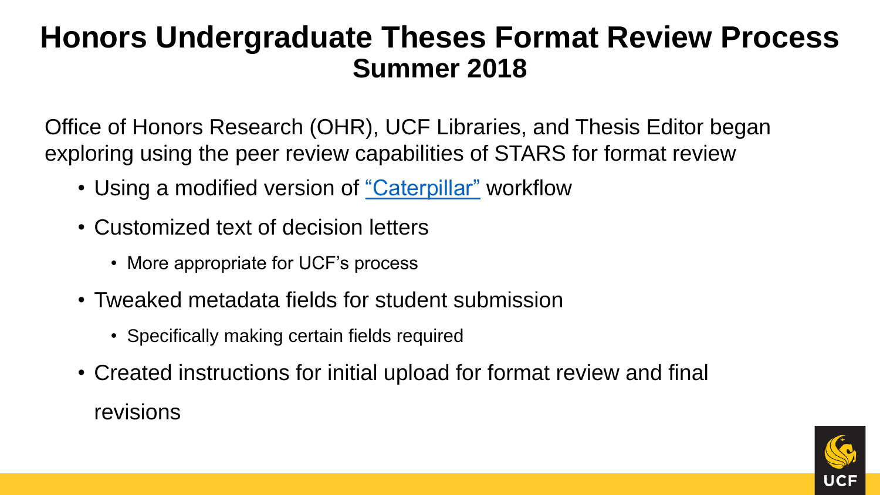## **Honors Undergraduate Theses Format Review Process Summer 2018**

Office of Honors Research (OHR), UCF Libraries, and Thesis Editor began exploring using the peer review capabilities of STARS for format review

- Using a modified version of ["Caterpillar"](https://bepress.com/reference_guide_dc/publishing-etd-series/) workflow
- Customized text of decision letters
	- More appropriate for UCF's process
- Tweaked metadata fields for student submission
	- Specifically making certain fields required
- Created instructions for initial upload for format review and final revisions

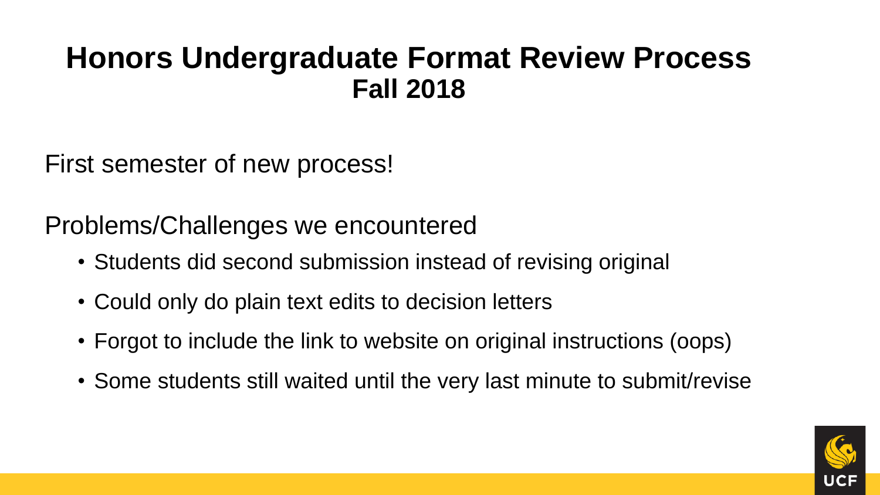## **Honors Undergraduate Format Review Process Fall 2018**

First semester of new process!

Problems/Challenges we encountered

- Students did second submission instead of revising original
- Could only do plain text edits to decision letters
- Forgot to include the link to website on original instructions (oops)
- Some students still waited until the very last minute to submit/revise

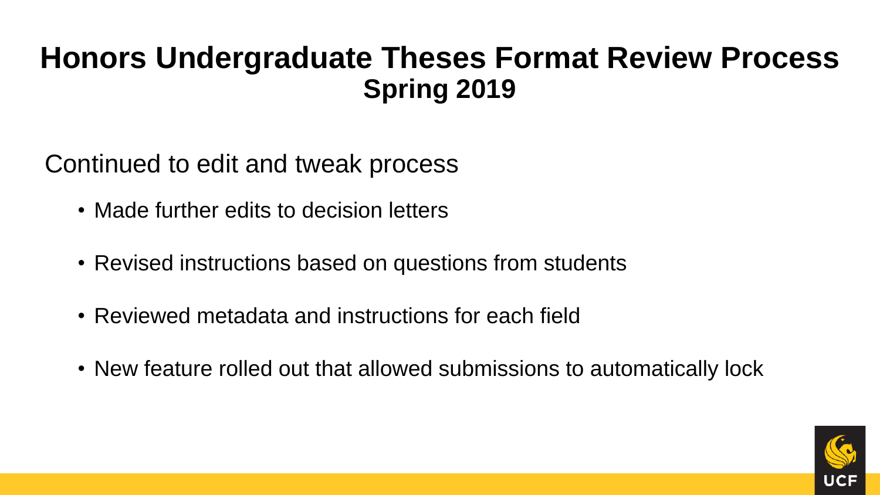## **Honors Undergraduate Theses Format Review Process Spring 2019**

Continued to edit and tweak process

- Made further edits to decision letters
- Revised instructions based on questions from students
- Reviewed metadata and instructions for each field
- New feature rolled out that allowed submissions to automatically lock

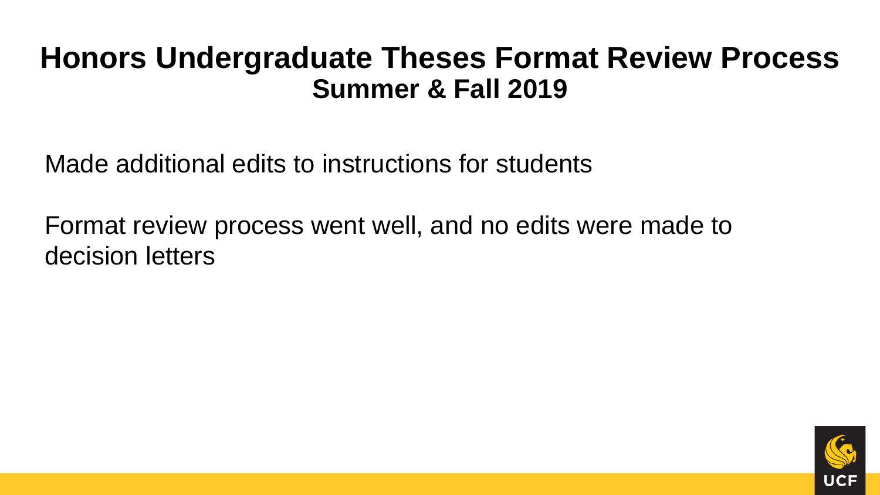### **Honors Undergraduate Theses Format Review Process Summer & Fall 2019**

Made additional edits to instructions for students

Format review process went well, and no edits were made to decision letters

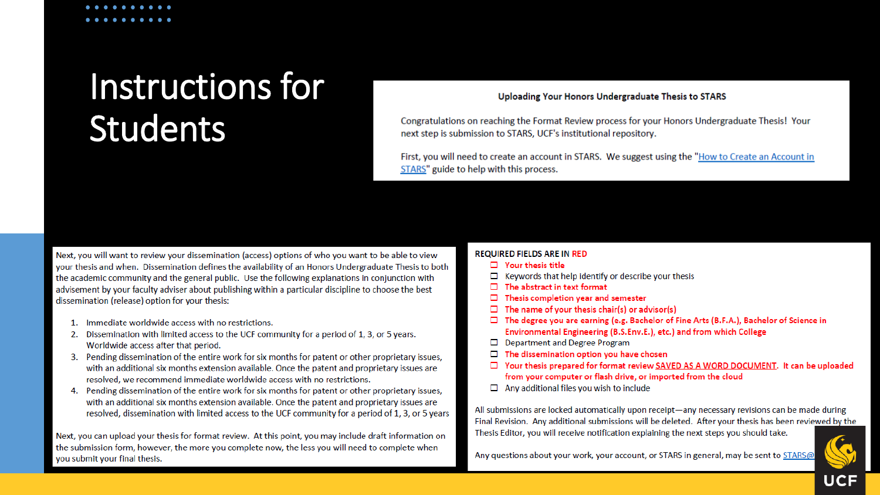## Instructions for **Students**

### Uploading Your Honors Undergraduate Thesis to STARS

Congratulations on reaching the Format Review process for your Honors Undergraduate Thesis! Your next step is submission to STARS. UCF's institutional repository.

First, you will need to create an account in STARS. We suggest using the "How to Create an Account in STARS" guide to help with this process.

Next, you will want to review your dissemination (access) options of who you want to be able to view your thesis and when. Dissemination defines the availability of an Honors Undergraduate Thesis to both the academic community and the general public. Use the following explanations in conjunction with advisement by your faculty adviser about publishing within a particular discipline to choose the best dissemination (release) option for your thesis:

- 1. Immediate worldwide access with no restrictions.
- 2. Dissemination with limited access to the UCF community for a period of 1, 3, or 5 years. Worldwide access after that period.
- 3. Pending dissemination of the entire work for six months for patent or other proprietary issues, with an additional six months extension available. Once the patent and proprietary issues are resolved, we recommend immediate worldwide access with no restrictions.
- 4. Pending dissemination of the entire work for six months for patent or other proprietary issues, with an additional six months extension available. Once the patent and proprietary issues are resolved, dissemination with limited access to the UCF community for a period of 1, 3, or 5 years

Next, you can upload your thesis for format review. At this point, you may include draft information on the submission form, however, the more you complete now, the less you will need to complete when you submit your final thesis.

### **REQUIRED FIELDS ARE IN RED**

- $\Box$  Your thesis title
- $\Box$  Keywords that help identify or describe your thesis
- $\Box$  The abstract in text format
- Thesis completion year and semester
- $\Box$  The name of your thesis chair(s) or advisor(s)
- $\Box$  The degree you are earning (e.g. Bachelor of Fine Arts (B.F.A.), Bachelor of Science in Environmental Engineering (B.S.Env.E.), etc.) and from which College
- □ Department and Degree Program
- $\Box$  The dissemination option you have chosen
- $\Box$  Your thesis prepared for format review SAVED AS A WORD DOCUMENT. It can be uploaded from your computer or flash drive, or imported from the cloud
- $\Box$  Any additional files you wish to include

All submissions are locked automatically upon receipt—any necessary revisions can be made during Final Revision. Any additional submissions will be deleted. After your thesis has been reviewed by the Thesis Editor, you will receive notification explaining the next steps you should take.

Any questions about your work, your account, or STARS in general, may be sent to STARS@

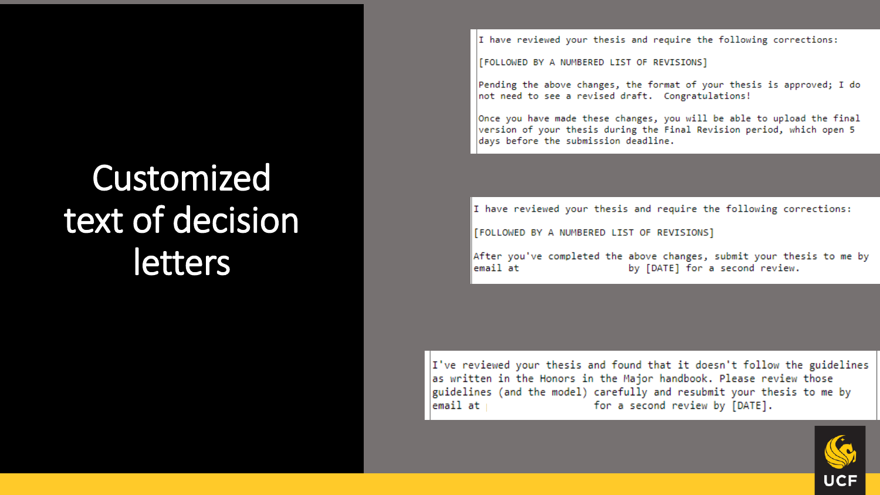## Customized text of decision letters

I have reviewed your thesis and require the following corrections:

[FOLLOWED BY A NUMBERED LIST OF REVISIONS]

Pending the above changes, the format of your thesis is approved; I do  $|$ not need to see a revised draft. Congratulations!

Once you have made these changes, you will be able to upload the final version of your thesis during the Final Revision period, which open 5 days before the submission deadline.

 $\|$ I have reviewed your thesis and require the following corrections:

[FOLLOWED BY A NUMBERED LIST OF REVISIONS]

After you've completed the above changes, submit your thesis to me by by [DATE] for a second review. email at

I've reviewed your thesis and found that it doesn't follow the guidelines as written in the Honors in the Major handbook. Please review those guidelines (and the model) carefully and resubmit your thesis to me by  $l$ email at  $l$ for a second review by [DATE].

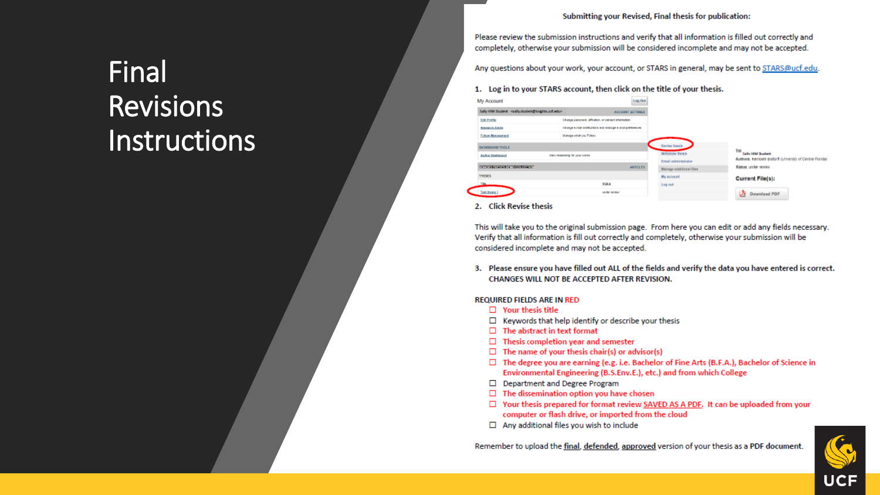#### Submitting your Revised, Final thesis for publication:

Please review the submission instructions and verify that all information is filled out correctly and completely, otherwise your submission will be considered incomplete and may not be accepted.

Any questions about your work, your account, or STARS in general, may be sent to STARS@ucf.edu.

#### 1. Log in to your STARS account, then click on the title of your thesis.

| Sally HIM Student <asily.student@knights.ucf.edu><br/>ACCOUNT SETTINGS<br/>Change password, affliation, or contact information<br/><b>Edit Profile</b><br/>Chance Autoil notifications and inaugue is mad preferences.<br/><b>Research Almits</b><br/>Manage what you Follow<br/>Follow Management<br/>Men readership for your works.<br/><b>Author Distributed</b><br/>TETERATIVE CONTROLLER<br/><b>ARTICLES</b><br/><b>THESES</b><br/><b>TIAK</b><br/>TEA.<br/>Leg out<br/><b>Text thesis 1</b><br/>under reniew.</asily.student@knights.ucf.edu> | My Account             | Log Out |
|-----------------------------------------------------------------------------------------------------------------------------------------------------------------------------------------------------------------------------------------------------------------------------------------------------------------------------------------------------------------------------------------------------------------------------------------------------------------------------------------------------------------------------------------------------|------------------------|---------|
| My account                                                                                                                                                                                                                                                                                                                                                                                                                                                                                                                                          |                        |         |
| <b>Revise thesis</b><br>William thesis<br>Ernall administrator                                                                                                                                                                                                                                                                                                                                                                                                                                                                                      |                        |         |
|                                                                                                                                                                                                                                                                                                                                                                                                                                                                                                                                                     |                        |         |
|                                                                                                                                                                                                                                                                                                                                                                                                                                                                                                                                                     |                        |         |
| Manage additional files                                                                                                                                                                                                                                                                                                                                                                                                                                                                                                                             | <b>BASHBOARD TOOLS</b> |         |
|                                                                                                                                                                                                                                                                                                                                                                                                                                                                                                                                                     |                        |         |
|                                                                                                                                                                                                                                                                                                                                                                                                                                                                                                                                                     |                        |         |
|                                                                                                                                                                                                                                                                                                                                                                                                                                                                                                                                                     |                        |         |
|                                                                                                                                                                                                                                                                                                                                                                                                                                                                                                                                                     |                        |         |
|                                                                                                                                                                                                                                                                                                                                                                                                                                                                                                                                                     |                        |         |
|                                                                                                                                                                                                                                                                                                                                                                                                                                                                                                                                                     |                        |         |

2. Click Revise thesis

This will take you to the original submission page. From here you can edit or add any fields necessary. Verify that all information is fill out correctly and completely, otherwise your submission will be considered incomplete and may not be accepted.

3. Please ensure you have filled out ALL of the fields and verify the data you have entered is correct. CHANGES WILL NOT BE ACCEPTED AFTER REVISION.

#### **REQUIRED FIELDS ARE IN RED**

- $\Box$  Your thesis title
- $\Box$  Keywords that help identify or describe your thesis
- $\Box$  The abstract in text format
- $\Box$  Thesis completion year and semester
- $\Box$  The name of your thesis chair(s) or advisor(s)
- □ The degree you are earning (e.g. i.e. Bachelor of Fine Arts (B.F.A.), Bachelor of Science in Environmental Engineering (B.S.Env.E.), etc.) and from which College
- □ Department and Degree Program
- $\Box$  The dissemination option you have chosen
- □ Your thesis prepared for format review SAVED AS A PDF. It can be uploaded from your computer or flash drive, or imported from the cloud
- $\Box$  Any additional files you wish to include



## Final **Revisions Instructions**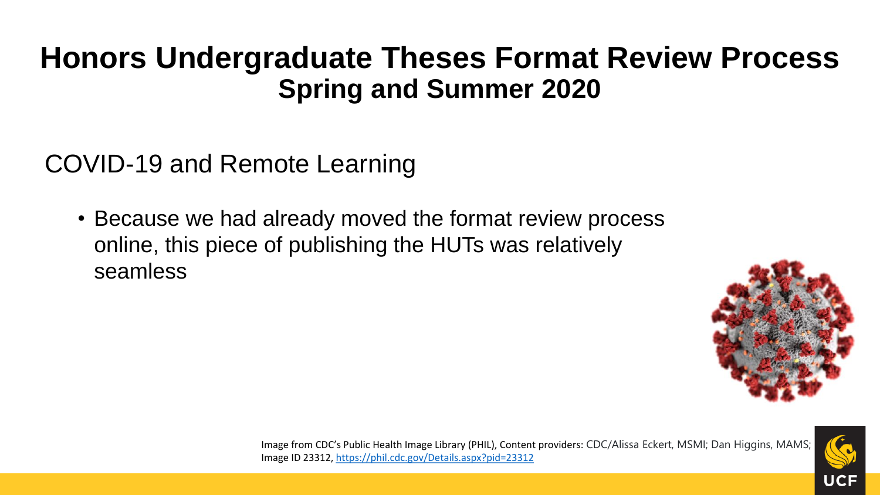## **Honors Undergraduate Theses Format Review Process Spring and Summer 2020**

COVID-19 and Remote Learning

• Because we had already moved the format review process online, this piece of publishing the HUTs was relatively seamless





Image from CDC's Public Health Image Library (PHIL), Content providers: CDC/Alissa Eckert, MSMI; Dan Higgins, MAMS; Image ID 23312, <https://phil.cdc.gov/Details.aspx?pid=23312>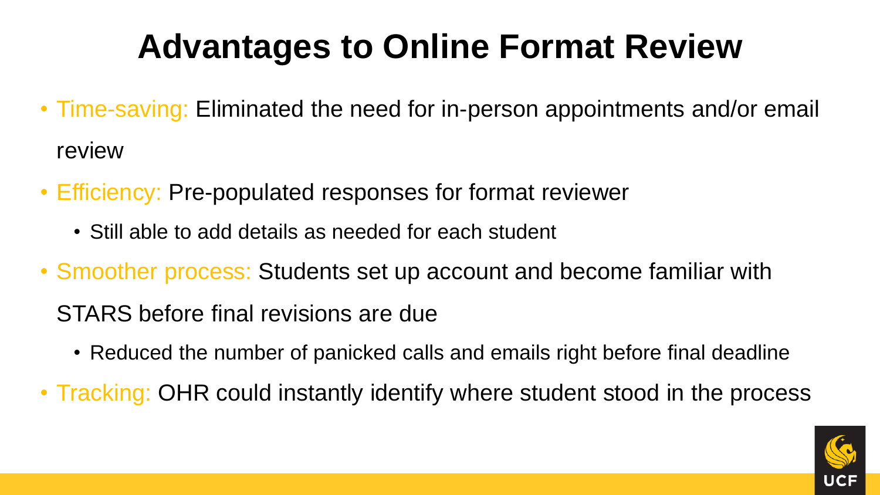## **Advantages to Online Format Review**

- Time-saving: Eliminated the need for in-person appointments and/or email review
- Efficiency: Pre-populated responses for format reviewer
	- Still able to add details as needed for each student
- Smoother process: Students set up account and become familiar with

STARS before final revisions are due

- Reduced the number of panicked calls and emails right before final deadline
- Tracking: OHR could instantly identify where student stood in the process

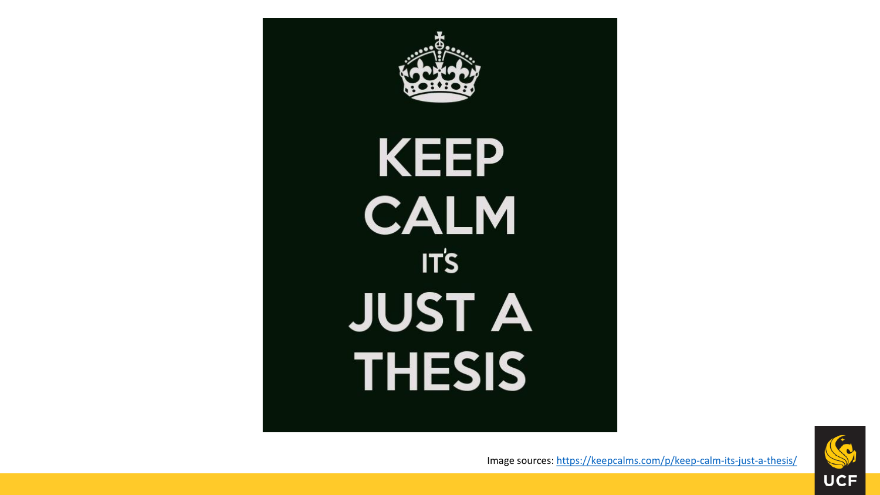



Image sources:<https://keepcalms.com/p/keep-calm-its-just-a-thesis/>